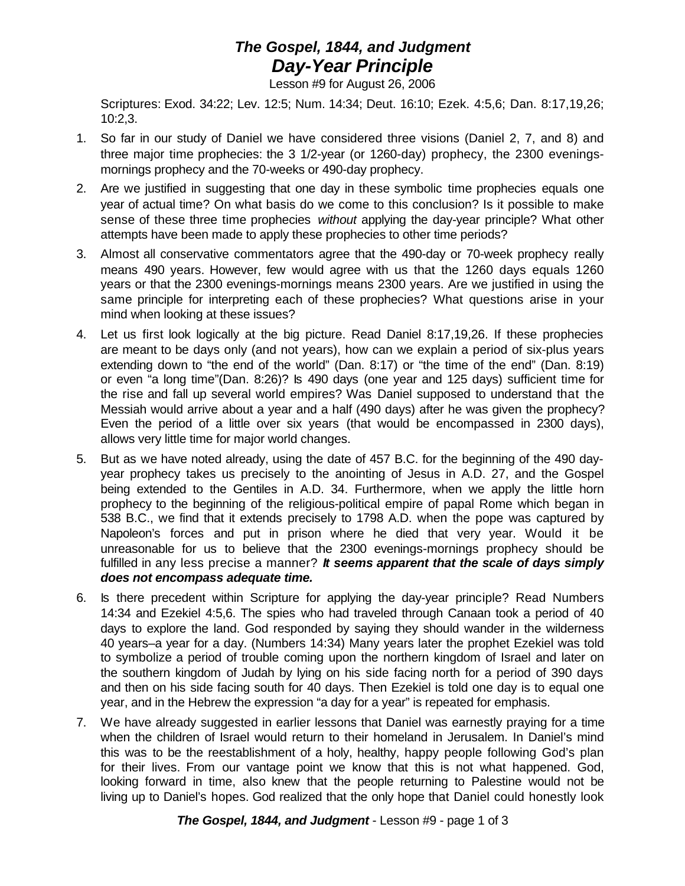## *The Gospel, 1844, and Judgment Day-Year Principle*

Lesson #9 for August 26, 2006

Scriptures: Exod. 34:22; Lev. 12:5; Num. 14:34; Deut. 16:10; Ezek. 4:5,6; Dan. 8:17,19,26; 10:2,3.

- 1. So far in our study of Daniel we have considered three visions (Daniel 2, 7, and 8) and three major time prophecies: the 3 1/2-year (or 1260-day) prophecy, the 2300 eveningsmornings prophecy and the 70-weeks or 490-day prophecy.
- 2. Are we justified in suggesting that one day in these symbolic time prophecies equals one year of actual time? On what basis do we come to this conclusion? Is it possible to make sense of these three time prophecies *without* applying the day-year principle? What other attempts have been made to apply these prophecies to other time periods?
- 3. Almost all conservative commentators agree that the 490-day or 70-week prophecy really means 490 years. However, few would agree with us that the 1260 days equals 1260 years or that the 2300 evenings-mornings means 2300 years. Are we justified in using the same principle for interpreting each of these prophecies? What questions arise in your mind when looking at these issues?
- 4. Let us first look logically at the big picture. Read Daniel 8:17,19,26. If these prophecies are meant to be days only (and not years), how can we explain a period of six-plus years extending down to "the end of the world" (Dan. 8:17) or "the time of the end" (Dan. 8:19) or even "a long time"(Dan. 8:26)? Is 490 days (one year and 125 days) sufficient time for the rise and fall up several world empires? Was Daniel supposed to understand that the Messiah would arrive about a year and a half (490 days) after he was given the prophecy? Even the period of a little over six years (that would be encompassed in 2300 days), allows very little time for major world changes.
- 5. But as we have noted already, using the date of 457 B.C. for the beginning of the 490 dayyear prophecy takes us precisely to the anointing of Jesus in A.D. 27, and the Gospel being extended to the Gentiles in A.D. 34. Furthermore, when we apply the little horn prophecy to the beginning of the religious-political empire of papal Rome which began in 538 B.C., we find that it extends precisely to 1798 A.D. when the pope was captured by Napoleon's forces and put in prison where he died that very year. Would it be unreasonable for us to believe that the 2300 evenings-mornings prophecy should be fulfilled in any less precise a manner? *It seems apparent that the scale of days simply does not encompass adequate time.*
- 6. Is there precedent within Scripture for applying the day-year principle? Read Numbers 14:34 and Ezekiel 4:5,6. The spies who had traveled through Canaan took a period of 40 days to explore the land. God responded by saying they should wander in the wilderness 40 years–a year for a day. (Numbers 14:34) Many years later the prophet Ezekiel was told to symbolize a period of trouble coming upon the northern kingdom of Israel and later on the southern kingdom of Judah by lying on his side facing north for a period of 390 days and then on his side facing south for 40 days. Then Ezekiel is told one day is to equal one year, and in the Hebrew the expression "a day for a year" is repeated for emphasis.
- 7. We have already suggested in earlier lessons that Daniel was earnestly praying for a time when the children of Israel would return to their homeland in Jerusalem. In Daniel's mind this was to be the reestablishment of a holy, healthy, happy people following God's plan for their lives. From our vantage point we know that this is not what happened. God, looking forward in time, also knew that the people returning to Palestine would not be living up to Daniel's hopes. God realized that the only hope that Daniel could honestly look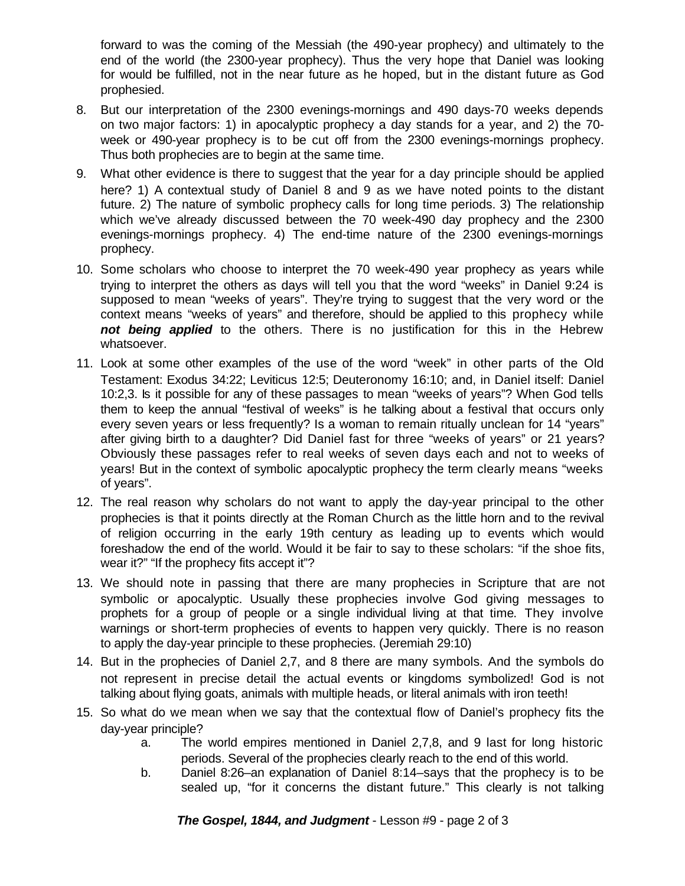forward to was the coming of the Messiah (the 490-year prophecy) and ultimately to the end of the world (the 2300-year prophecy). Thus the very hope that Daniel was looking for would be fulfilled, not in the near future as he hoped, but in the distant future as God prophesied.

- 8. But our interpretation of the 2300 evenings-mornings and 490 days-70 weeks depends on two major factors: 1) in apocalyptic prophecy a day stands for a year, and 2) the 70 week or 490-year prophecy is to be cut off from the 2300 evenings-mornings prophecy. Thus both prophecies are to begin at the same time.
- 9. What other evidence is there to suggest that the year for a day principle should be applied here? 1) A contextual study of Daniel 8 and 9 as we have noted points to the distant future. 2) The nature of symbolic prophecy calls for long time periods. 3) The relationship which we've already discussed between the 70 week-490 day prophecy and the 2300 evenings-mornings prophecy. 4) The end-time nature of the 2300 evenings-mornings prophecy.
- 10. Some scholars who choose to interpret the 70 week-490 year prophecy as years while trying to interpret the others as days will tell you that the word "weeks" in Daniel 9:24 is supposed to mean "weeks of years". They're trying to suggest that the very word or the context means "weeks of years" and therefore, should be applied to this prophecy while *not being applied* to the others. There is no justification for this in the Hebrew whatsoever.
- 11. Look at some other examples of the use of the word "week" in other parts of the Old Testament: Exodus 34:22; Leviticus 12:5; Deuteronomy 16:10; and, in Daniel itself: Daniel 10:2,3. Is it possible for any of these passages to mean "weeks of years"? When God tells them to keep the annual "festival of weeks" is he talking about a festival that occurs only every seven years or less frequently? Is a woman to remain ritually unclean for 14 "years" after giving birth to a daughter? Did Daniel fast for three "weeks of years" or 21 years? Obviously these passages refer to real weeks of seven days each and not to weeks of years! But in the context of symbolic apocalyptic prophecy the term clearly means "weeks of years".
- 12. The real reason why scholars do not want to apply the day-year principal to the other prophecies is that it points directly at the Roman Church as the little horn and to the revival of religion occurring in the early 19th century as leading up to events which would foreshadow the end of the world. Would it be fair to say to these scholars: "if the shoe fits, wear it?" "If the prophecy fits accept it"?
- 13. We should note in passing that there are many prophecies in Scripture that are not symbolic or apocalyptic. Usually these prophecies involve God giving messages to prophets for a group of people or a single individual living at that time. They involve warnings or short-term prophecies of events to happen very quickly. There is no reason to apply the day-year principle to these prophecies. (Jeremiah 29:10)
- 14. But in the prophecies of Daniel 2,7, and 8 there are many symbols. And the symbols do not represent in precise detail the actual events or kingdoms symbolized! God is not talking about flying goats, animals with multiple heads, or literal animals with iron teeth!
- 15. So what do we mean when we say that the contextual flow of Daniel's prophecy fits the day-year principle?
	- a. The world empires mentioned in Daniel 2,7,8, and 9 last for long historic periods. Several of the prophecies clearly reach to the end of this world.
	- b. Daniel 8:26–an explanation of Daniel 8:14–says that the prophecy is to be sealed up, "for it concerns the distant future." This clearly is not talking

*The Gospel, 1844, and Judgment* - Lesson #9 - page 2 of 3